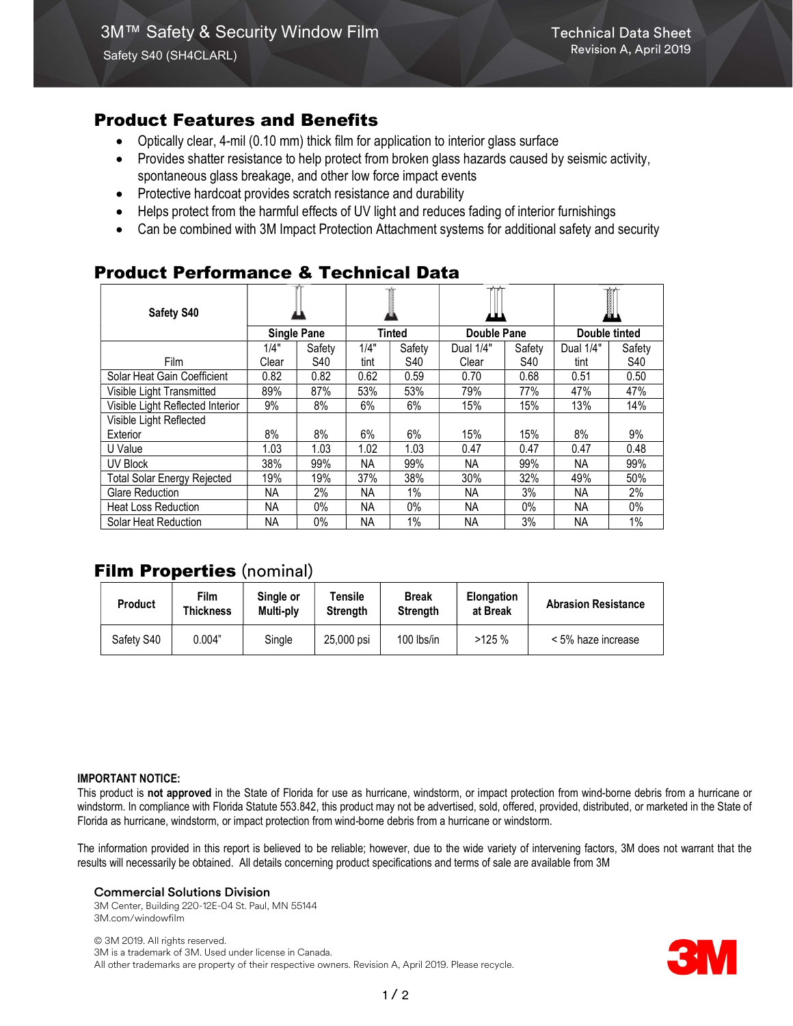# Product Features and Benefits

- Optically clear, 4-mil (0.10 mm) thick film for application to interior glass surface
- Provides shatter resistance to help protect from broken glass hazards caused by seismic activity, spontaneous glass breakage, and other low force impact events
- Protective hardcoat provides scratch resistance and durability
- Helps protect from the harmful effects of UV light and reduces fading of interior furnishings
- Can be combined with 3M Impact Protection Attachment systems for additional safety and security

# Product Performance & Technical Data

| <b>Safety S40</b>                  |                    |        |               |        |             |        | 1             |            |
|------------------------------------|--------------------|--------|---------------|--------|-------------|--------|---------------|------------|
|                                    | <b>Single Pane</b> |        | <b>Tinted</b> |        | Double Pane |        | Double tinted |            |
|                                    | 1/4"               | Safety | 1/4"          | Safety | Dual 1/4"   | Safety | Dual 1/4"     | Safety     |
| Film                               | Clear              | S40    | tint          | S40    | Clear       | S40    | tint          | <b>S40</b> |
| Solar Heat Gain Coefficient        | 0.82               | 0.82   | 0.62          | 0.59   | 0.70        | 0.68   | 0.51          | 0.50       |
| Visible Light Transmitted          | 89%                | 87%    | 53%           | 53%    | 79%         | 77%    | 47%           | 47%        |
| Visible Light Reflected Interior   | 9%                 | 8%     | 6%            | 6%     | 15%         | 15%    | 13%           | 14%        |
| Visible Light Reflected            |                    |        |               |        |             |        |               |            |
| Exterior                           | 8%                 | 8%     | 6%            | 6%     | 15%         | 15%    | 8%            | 9%         |
| U Value                            | 1.03               | 1.03   | 1.02          | 1.03   | 0.47        | 0.47   | 0.47          | 0.48       |
| <b>UV Block</b>                    | 38%                | 99%    | NA.           | 99%    | NA.         | 99%    | NA.           | 99%        |
| <b>Total Solar Energy Rejected</b> | 19%                | 19%    | 37%           | 38%    | 30%         | 32%    | 49%           | 50%        |
| Glare Reduction                    | NA                 | 2%     | <b>NA</b>     | 1%     | NA.         | 3%     | <b>NA</b>     | 2%         |
| <b>Heat Loss Reduction</b>         | ΝA                 | 0%     | NA.           | $0\%$  | NA.         | $0\%$  | NА            | 0%         |
| Solar Heat Reduction               | <b>NA</b>          | $0\%$  | <b>NA</b>     | $1\%$  | <b>NA</b>   | 3%     | <b>NA</b>     | 1%         |

# Film Properties (nominal)

| <b>Product</b> | Film<br>Thickness | Single or<br>Multi-ply | Tensile<br><b>Strength</b> | <b>Break</b><br><b>Strength</b> | <b>Elongation</b><br>at Break | <b>Abrasion Resistance</b> |
|----------------|-------------------|------------------------|----------------------------|---------------------------------|-------------------------------|----------------------------|
| Safety S40     | 0.004"            | Single                 | 25,000 psi                 | $100$ lbs/in                    | >125%                         | < 5% haze increase         |

#### IMPORTANT NOTICE:

This product is not approved in the State of Florida for use as hurricane, windstorm, or impact protection from wind-borne debris from a hurricane or windstorm. In compliance with Florida Statute 553.842, this product may not be advertised, sold, offered, provided, distributed, or marketed in the State of Florida as hurricane, windstorm, or impact protection from wind-borne debris from a hurricane or windstorm.

The information provided in this report is believed to be reliable; however, due to the wide variety of intervening factors, 3M does not warrant that the results will necessarily be obtained. All details concerning product specifications and terms of sale are available from 3M

#### Commercial Solutions Division

3M Center, Building 220-12E-04 St. Paul, MN 55144 3M.com/windowfilm

© 3M 2019. All rights reserved. 3M is a trademark of 3M. Used under license in Canada. All other trademarks are property of their respective owners. Revision A, April 2019. Please recycle.